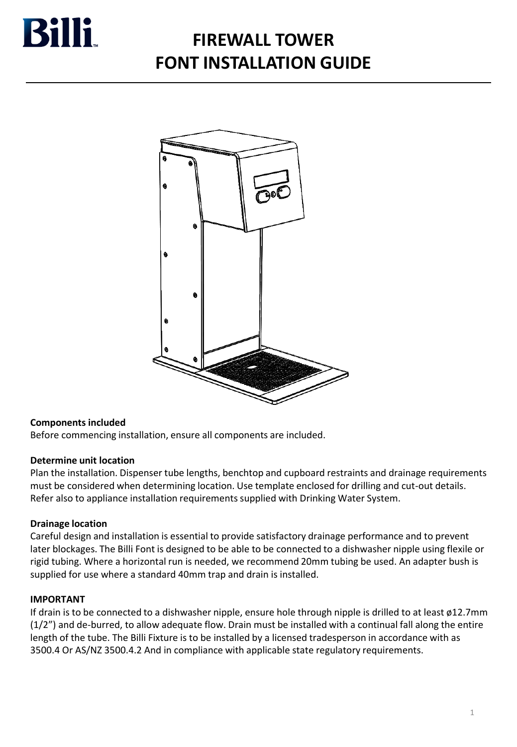

# **FIREWALL TOWER FONT INSTALLATION GUIDE**



### **Components included**

Before commencing installation, ensure all components are included.

#### **Determine unit location**

Plan the installation. Dispenser tube lengths, benchtop and cupboard restraints and drainage requirements must be considered when determining location. Use template enclosed for drilling and cut-out details. Refer also to appliance installation requirements supplied with Drinking Water System.

#### **Drainage location**

Careful design and installation is essential to provide satisfactory drainage performance and to prevent later blockages. The Billi Font is designed to be able to be connected to a dishwasher nipple using flexile or rigid tubing. Where a horizontal run is needed, we recommend 20mm tubing be used. An adapter bush is supplied for use where a standard 40mm trap and drain is installed.

#### **IMPORTANT**

If drain is to be connected to a dishwasher nipple, ensure hole through nipple is drilled to at least ø12.7mm (1/2") and de-burred, to allow adequate flow. Drain must be installed with a continual fall along the entire length of the tube. The Billi Fixture is to be installed by a licensed tradesperson in accordance with as 3500.4 Or AS/NZ 3500.4.2 And in compliance with applicable state regulatory requirements.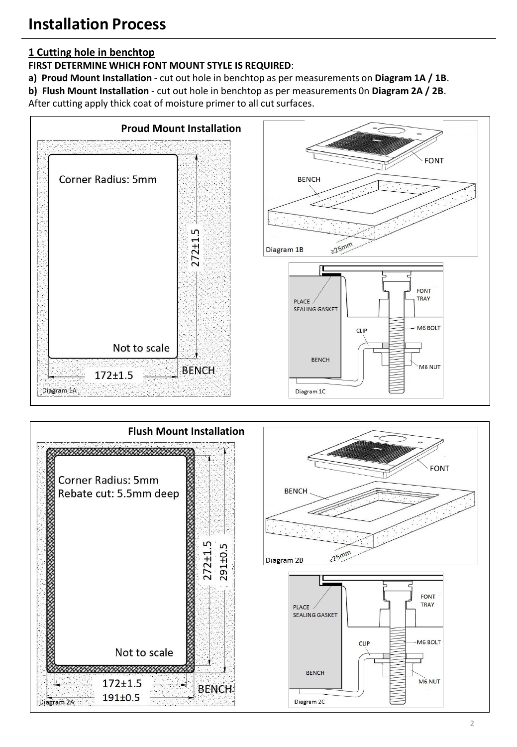# **1 Cutting hole in benchtop**

**FIRST DETERMINE WHICH FONT MOUNT STYLE IS REQUIRED**:

**a) Proud Mount Installation** - cut out hole in benchtop as per measurements on **Diagram 1A / 1B**.

**b) Flush Mount Installation** - cut out hole in benchtop as per measurements 0n **Diagram 2A / 2B**.

After cutting apply thick coat of moisture primer to all cut surfaces.



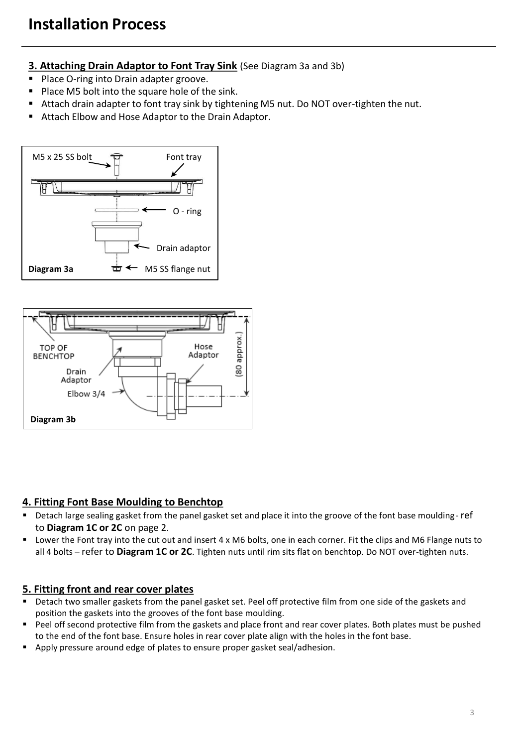## **3. Attaching Drain Adaptor to Font Tray Sink** (See Diagram 3a and 3b)

- Place O-ring into Drain adapter groove.
- Place M5 bolt into the square hole of the sink.
- Attach drain adapter to font tray sink by tightening M5 nut. Do NOT over-tighten the nut.
- Attach Elbow and Hose Adaptor to the Drain Adaptor.





### **4. Fitting Font Base Moulding to Benchtop**

- Detach large sealing gasket from the panel gasket set and place it into the groove of the font base moulding-ref to **Diagram 1C or 2C** on page 2.
- Lower the Font tray into the cut out and insert 4 x M6 bolts, one in each corner. Fit the clips and M6 Flange nuts to all 4 bolts – refer to **Diagram 1C or 2C**. Tighten nuts until rim sits flat on benchtop. Do NOT over-tighten nuts.

### **5. Fitting front and rear cover plates**

- Detach two smaller gaskets from the panel gasket set. Peel off protective film from one side of the gaskets and position the gaskets into the grooves of the font base moulding.
- Peel off second protective film from the gaskets and place front and rear cover plates. Both plates must be pushed to the end of the font base. Ensure holes in rear cover plate align with the holes in the font base.
- Apply pressure around edge of plates to ensure proper gasket seal/adhesion.